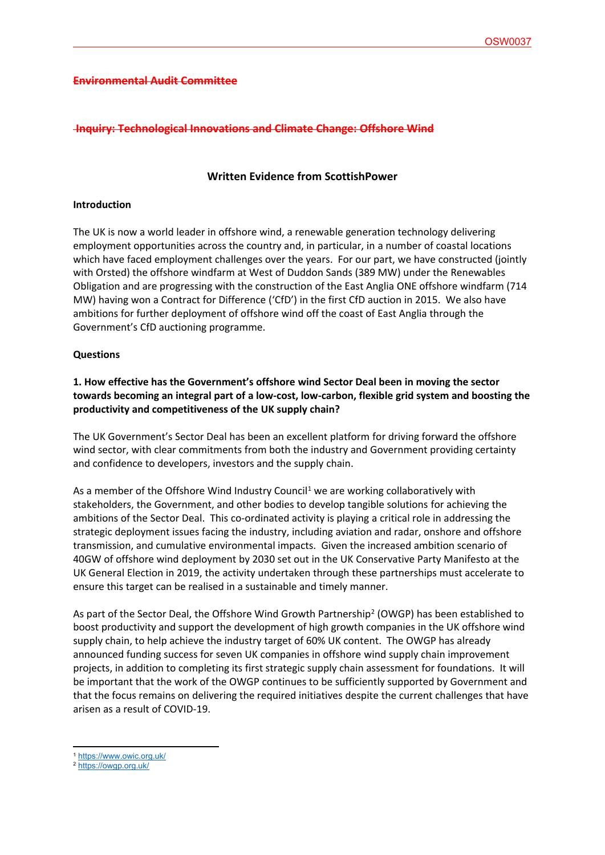#### **Environmental Audit Committee**

#### **Inquiry: Technological Innovations and Climate Change: Offshore Wind**

# **Written Evidence from ScottishPower**

#### **Introduction**

The UK is now a world leader in offshore wind, a renewable generation technology delivering employment opportunities across the country and, in particular, in a number of coastal locations which have faced employment challenges over the years. For our part, we have constructed (jointly with Orsted) the offshore windfarm at West of Duddon Sands (389 MW) under the Renewables Obligation and are progressing with the construction of the East Anglia ONE offshore windfarm (714 MW) having won a Contract for Difference ('CfD') in the first CfD auction in 2015. We also have ambitions for further deployment of offshore wind off the coast of East Anglia through the Government's CfD auctioning programme.

#### **Questions**

# **1. How effective has the Government's offshore wind Sector Deal been in moving the sector towards becoming an integral part of a low-cost, low-carbon, flexible grid system and boosting the productivity and competitiveness of the UK supply chain?**

The UK Government's Sector Deal has been an excellent platform for driving forward the offshore wind sector, with clear commitments from both the industry and Government providing certainty and confidence to developers, investors and the supply chain.

As a member of the Offshore Wind Industry Council<sup>1</sup> we are working collaboratively with stakeholders, the Government, and other bodies to develop tangible solutions for achieving the ambitions of the Sector Deal. This co-ordinated activity is playing a critical role in addressing the strategic deployment issues facing the industry, including aviation and radar, onshore and offshore transmission, and cumulative environmental impacts. Given the increased ambition scenario of 40GW of offshore wind deployment by 2030 set out in the UK Conservative Party Manifesto at the UK General Election in 2019, the activity undertaken through these partnerships must accelerate to ensure this target can be realised in a sustainable and timely manner.

As part of the Sector Deal, the Offshore Wind Growth Partnership<sup>2</sup> (OWGP) has been established to boost productivity and support the development of high growth companies in the UK offshore wind supply chain, to help achieve the industry target of 60% UK content. The OWGP has already announced funding success for seven UK companies in offshore wind supply chain improvement projects, in addition to completing its first strategic supply chain assessment for foundations. It will be important that the work of the OWGP continues to be sufficiently supported by Government and that the focus remains on delivering the required initiatives despite the current challenges that have arisen as a result of COVID-19.

<sup>1</sup> <https://www.owic.org.uk/>

<sup>2</sup> <https://owgp.org.uk/>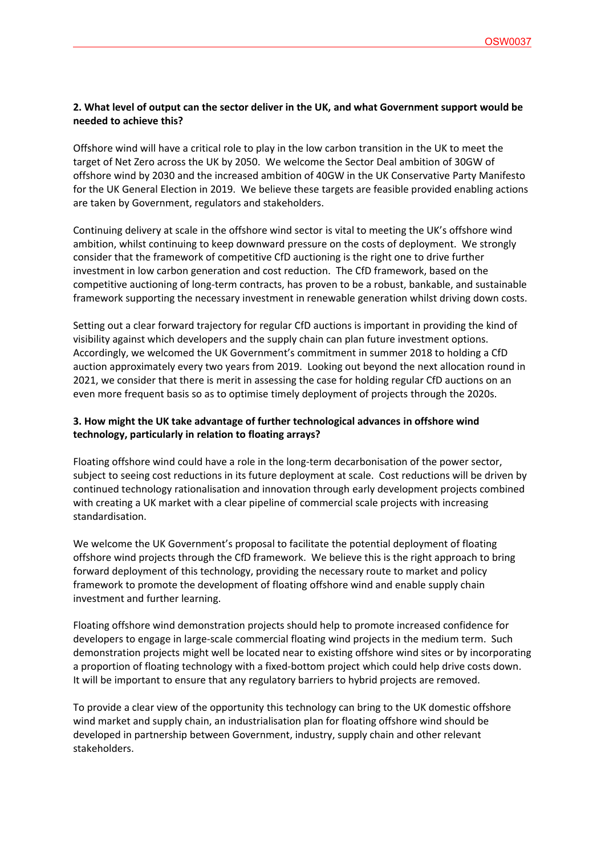### **2. What level of output can the sector deliver in the UK, and what Government support would be needed to achieve this?**

Offshore wind will have a critical role to play in the low carbon transition in the UK to meet the target of Net Zero across the UK by 2050. We welcome the Sector Deal ambition of 30GW of offshore wind by 2030 and the increased ambition of 40GW in the UK Conservative Party Manifesto for the UK General Election in 2019. We believe these targets are feasible provided enabling actions are taken by Government, regulators and stakeholders.

Continuing delivery at scale in the offshore wind sector is vital to meeting the UK's offshore wind ambition, whilst continuing to keep downward pressure on the costs of deployment. We strongly consider that the framework of competitive CfD auctioning is the right one to drive further investment in low carbon generation and cost reduction. The CfD framework, based on the competitive auctioning of long-term contracts, has proven to be a robust, bankable, and sustainable framework supporting the necessary investment in renewable generation whilst driving down costs.

Setting out a clear forward trajectory for regular CfD auctions is important in providing the kind of visibility against which developers and the supply chain can plan future investment options. Accordingly, we welcomed the UK Government's commitment in summer 2018 to holding a CfD auction approximately every two years from 2019. Looking out beyond the next allocation round in 2021, we consider that there is merit in assessing the case for holding regular CfD auctions on an even more frequent basis so as to optimise timely deployment of projects through the 2020s.

## **3. How might the UK take advantage of further technological advances in offshore wind technology, particularly in relation to floating arrays?**

Floating offshore wind could have a role in the long-term decarbonisation of the power sector, subject to seeing cost reductions in its future deployment at scale. Cost reductions will be driven by continued technology rationalisation and innovation through early development projects combined with creating a UK market with a clear pipeline of commercial scale projects with increasing standardisation.

We welcome the UK Government's proposal to facilitate the potential deployment of floating offshore wind projects through the CfD framework. We believe this is the right approach to bring forward deployment of this technology, providing the necessary route to market and policy framework to promote the development of floating offshore wind and enable supply chain investment and further learning.

Floating offshore wind demonstration projects should help to promote increased confidence for developers to engage in large-scale commercial floating wind projects in the medium term. Such demonstration projects might well be located near to existing offshore wind sites or by incorporating a proportion of floating technology with a fixed-bottom project which could help drive costs down. It will be important to ensure that any regulatory barriers to hybrid projects are removed.

To provide a clear view of the opportunity this technology can bring to the UK domestic offshore wind market and supply chain, an industrialisation plan for floating offshore wind should be developed in partnership between Government, industry, supply chain and other relevant stakeholders.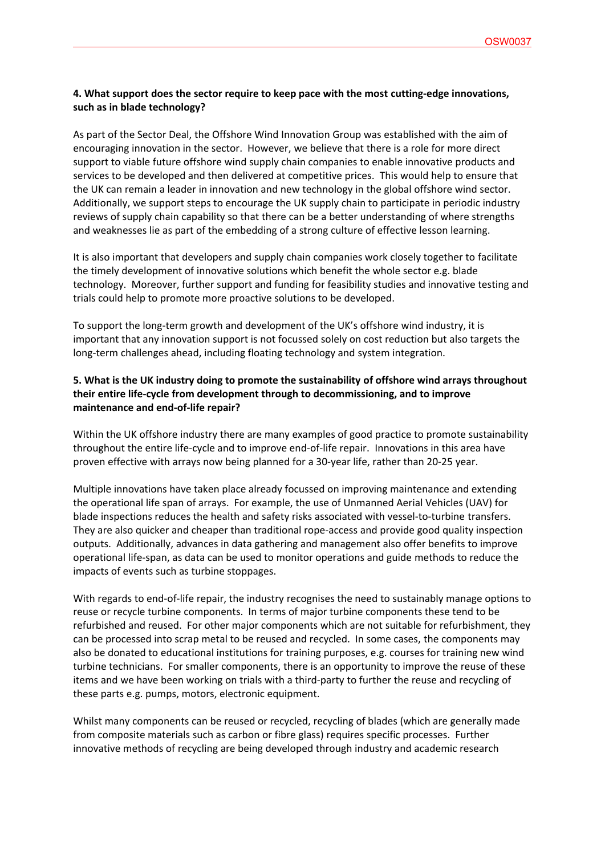## **4. What support does the sector require to keep pace with the most cutting-edge innovations, such as in blade technology?**

As part of the Sector Deal, the Offshore Wind Innovation Group was established with the aim of encouraging innovation in the sector. However, we believe that there is a role for more direct support to viable future offshore wind supply chain companies to enable innovative products and services to be developed and then delivered at competitive prices. This would help to ensure that the UK can remain a leader in innovation and new technology in the global offshore wind sector. Additionally, we support steps to encourage the UK supply chain to participate in periodic industry reviews of supply chain capability so that there can be a better understanding of where strengths and weaknesses lie as part of the embedding of a strong culture of effective lesson learning.

It is also important that developers and supply chain companies work closely together to facilitate the timely development of innovative solutions which benefit the whole sector e.g. blade technology. Moreover, further support and funding for feasibility studies and innovative testing and trials could help to promote more proactive solutions to be developed.

To support the long-term growth and development of the UK's offshore wind industry, it is important that any innovation support is not focussed solely on cost reduction but also targets the long-term challenges ahead, including floating technology and system integration.

# **5. What is the UK industry doing to promote the sustainability of offshore wind arrays throughout their entire life-cycle from development through to decommissioning, and to improve maintenance and end-of-life repair?**

Within the UK offshore industry there are many examples of good practice to promote sustainability throughout the entire life-cycle and to improve end-of-life repair. Innovations in this area have proven effective with arrays now being planned for a 30-year life, rather than 20-25 year.

Multiple innovations have taken place already focussed on improving maintenance and extending the operational life span of arrays. For example, the use of Unmanned Aerial Vehicles (UAV) for blade inspections reduces the health and safety risks associated with vessel-to-turbine transfers. They are also quicker and cheaper than traditional rope-access and provide good quality inspection outputs. Additionally, advances in data gathering and management also offer benefits to improve operational life-span, as data can be used to monitor operations and guide methods to reduce the impacts of events such as turbine stoppages.

With regards to end-of-life repair, the industry recognises the need to sustainably manage options to reuse or recycle turbine components. In terms of major turbine components these tend to be refurbished and reused. For other major components which are not suitable for refurbishment, they can be processed into scrap metal to be reused and recycled. In some cases, the components may also be donated to educational institutions for training purposes, e.g. courses for training new wind turbine technicians. For smaller components, there is an opportunity to improve the reuse of these items and we have been working on trials with a third-party to further the reuse and recycling of these parts e.g. pumps, motors, electronic equipment.

Whilst many components can be reused or recycled, recycling of blades (which are generally made from composite materials such as carbon or fibre glass) requires specific processes. Further innovative methods of recycling are being developed through industry and academic research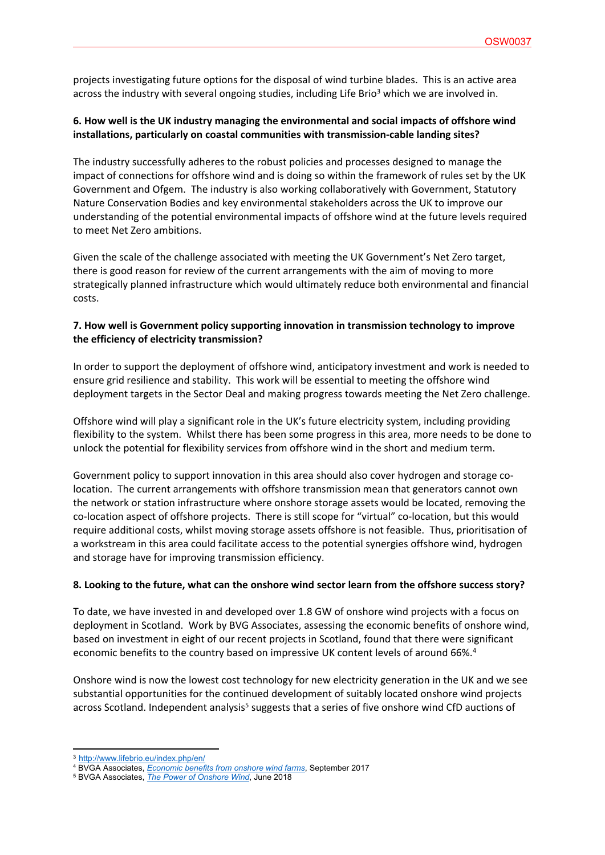projects investigating future options for the disposal of wind turbine blades. This is an active area across the industry with several ongoing studies, including Life Brio<sup>3</sup> which we are involved in.

### **6. How well is the UK industry managing the environmental and social impacts of offshore wind installations, particularly on coastal communities with transmission-cable landing sites?**

The industry successfully adheres to the robust policies and processes designed to manage the impact of connections for offshore wind and is doing so within the framework of rules set by the UK Government and Ofgem. The industry is also working collaboratively with Government, Statutory Nature Conservation Bodies and key environmental stakeholders across the UK to improve our understanding of the potential environmental impacts of offshore wind at the future levels required to meet Net Zero ambitions.

Given the scale of the challenge associated with meeting the UK Government's Net Zero target, there is good reason for review of the current arrangements with the aim of moving to more strategically planned infrastructure which would ultimately reduce both environmental and financial costs.

## **7. How well is Government policy supporting innovation in transmission technology to improve the efficiency of electricity transmission?**

In order to support the deployment of offshore wind, anticipatory investment and work is needed to ensure grid resilience and stability. This work will be essential to meeting the offshore wind deployment targets in the Sector Deal and making progress towards meeting the Net Zero challenge.

Offshore wind will play a significant role in the UK's future electricity system, including providing flexibility to the system. Whilst there has been some progress in this area, more needs to be done to unlock the potential for flexibility services from offshore wind in the short and medium term.

Government policy to support innovation in this area should also cover hydrogen and storage colocation. The current arrangements with offshore transmission mean that generators cannot own the network or station infrastructure where onshore storage assets would be located, removing the co-location aspect of offshore projects. There is still scope for "virtual" co-location, but this would require additional costs, whilst moving storage assets offshore is not feasible. Thus, prioritisation of a workstream in this area could facilitate access to the potential synergies offshore wind, hydrogen and storage have for improving transmission efficiency.

#### **8. Looking to the future, what can the onshore wind sector learn from the offshore success story?**

To date, we have invested in and developed over 1.8 GW of onshore wind projects with a focus on deployment in Scotland. Work by BVG Associates, assessing the economic benefits of onshore wind, based on investment in eight of our recent projects in Scotland, found that there were significant economic benefits to the country based on impressive UK content levels of around 66%.<sup>4</sup>

Onshore wind is now the lowest cost technology for new electricity generation in the UK and we see substantial opportunities for the continued development of suitably located onshore wind projects across Scotland. Independent analysis<sup>5</sup> suggests that a series of five onshore wind CfD auctions of

<sup>3</sup> <http://www.lifebrio.eu/index.php/en/>

<sup>4</sup> BVGA Associates, *[Economic](https://bvgassociates.com/economic-benefits-onshore-wind-farms/) [benefits](https://bvgassociates.com/economic-benefits-onshore-wind-farms/) [from](https://bvgassociates.com/economic-benefits-onshore-wind-farms/) [onshore](https://bvgassociates.com/economic-benefits-onshore-wind-farms/) [wind](https://bvgassociates.com/economic-benefits-onshore-wind-farms/) [farms](https://bvgassociates.com/economic-benefits-onshore-wind-farms/)*, September 2017

<sup>5</sup> BVGA Associates, *[The](https://bvgassociates.com/the-power-of-onshore-wind/) [Power](https://bvgassociates.com/the-power-of-onshore-wind/) [of](https://bvgassociates.com/the-power-of-onshore-wind/) [Onshore](https://bvgassociates.com/the-power-of-onshore-wind/) [Wind](https://bvgassociates.com/the-power-of-onshore-wind/)*, June 2018